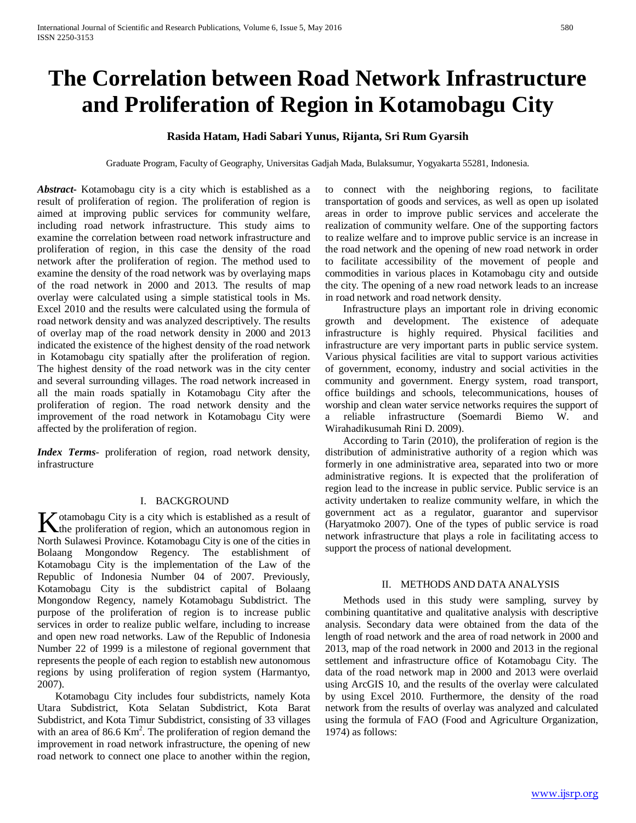# **The Correlation between Road Network Infrastructure and Proliferation of Region in Kotamobagu City**

# **Rasida Hatam, Hadi Sabari Yunus, Rijanta, Sri Rum Gyarsih**

Graduate Program, Faculty of Geography, Universitas Gadjah Mada, Bulaksumur, Yogyakarta 55281, Indonesia.

*Abstract***-** Kotamobagu city is a city which is established as a result of proliferation of region. The proliferation of region is aimed at improving public services for community welfare, including road network infrastructure. This study aims to examine the correlation between road network infrastructure and proliferation of region, in this case the density of the road network after the proliferation of region. The method used to examine the density of the road network was by overlaying maps of the road network in 2000 and 2013. The results of map overlay were calculated using a simple statistical tools in Ms. Excel 2010 and the results were calculated using the formula of road network density and was analyzed descriptively. The results of overlay map of the road network density in 2000 and 2013 indicated the existence of the highest density of the road network in Kotamobagu city spatially after the proliferation of region. The highest density of the road network was in the city center and several surrounding villages. The road network increased in all the main roads spatially in Kotamobagu City after the proliferation of region. The road network density and the improvement of the road network in Kotamobagu City were affected by the proliferation of region.

*Index Terms*- proliferation of region, road network density, infrastructure

#### I. BACKGROUND

otamobagu City is a city which is established as a result of  $\bf{K}$  otamobagu City is a city which is established as a result of the proliferation of region, which an autonomous region in North Sulawesi Province. Kotamobagu City is one of the cities in Bolaang Mongondow Regency. The establishment of Kotamobagu City is the implementation of the Law of the Republic of Indonesia Number 04 of 2007. Previously, Kotamobagu City is the subdistrict capital of Bolaang Mongondow Regency, namely Kotamobagu Subdistrict. The purpose of the proliferation of region is to increase public services in order to realize public welfare, including to increase and open new road networks. Law of the Republic of Indonesia Number 22 of 1999 is a milestone of regional government that represents the people of each region to establish new autonomous regions by using proliferation of region system (Harmantyo, 2007).

 Kotamobagu City includes four subdistricts, namely Kota Utara Subdistrict, Kota Selatan Subdistrict, Kota Barat Subdistrict, and Kota Timur Subdistrict, consisting of 33 villages with an area of  $86.6 \text{ Km}^2$ . The proliferation of region demand the improvement in road network infrastructure, the opening of new road network to connect one place to another within the region,

to connect with the neighboring regions, to facilitate transportation of goods and services, as well as open up isolated areas in order to improve public services and accelerate the realization of community welfare. One of the supporting factors to realize welfare and to improve public service is an increase in the road network and the opening of new road network in order to facilitate accessibility of the movement of people and commodities in various places in Kotamobagu city and outside the city. The opening of a new road network leads to an increase in road network and road network density.

 Infrastructure plays an important role in driving economic growth and development. The existence of adequate infrastructure is highly required. Physical facilities and infrastructure are very important parts in public service system. Various physical facilities are vital to support various activities of government, economy, industry and social activities in the community and government. Energy system, road transport, office buildings and schools, telecommunications, houses of worship and clean water service networks requires the support of a reliable infrastructure (Soemardi Biemo W. and Wirahadikusumah Rini D. 2009).

 According to Tarin (2010), the proliferation of region is the distribution of administrative authority of a region which was formerly in one administrative area, separated into two or more administrative regions. It is expected that the proliferation of region lead to the increase in public service. Public service is an activity undertaken to realize community welfare, in which the government act as a regulator, guarantor and supervisor (Haryatmoko 2007). One of the types of public service is road network infrastructure that plays a role in facilitating access to support the process of national development.

#### II. METHODS AND DATA ANALYSIS

 Methods used in this study were sampling, survey by combining quantitative and qualitative analysis with descriptive analysis. Secondary data were obtained from the data of the length of road network and the area of road network in 2000 and 2013, map of the road network in 2000 and 2013 in the regional settlement and infrastructure office of Kotamobagu City. The data of the road network map in 2000 and 2013 were overlaid using ArcGIS 10, and the results of the overlay were calculated by using Excel 2010. Furthermore, the density of the road network from the results of overlay was analyzed and calculated using the formula of FAO (Food and Agriculture Organization, 1974) as follows: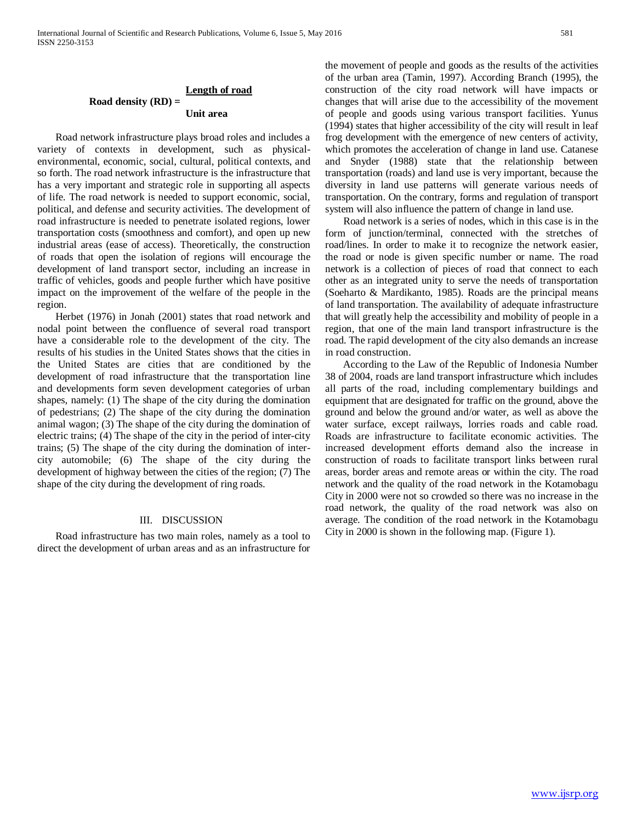#### **Road density (RD) = Length of road Unit area**

 Road network infrastructure plays broad roles and includes a variety of contexts in development, such as physicalenvironmental, economic, social, cultural, political contexts, and so forth. The road network infrastructure is the infrastructure that has a very important and strategic role in supporting all aspects of life. The road network is needed to support economic, social, political, and defense and security activities. The development of road infrastructure is needed to penetrate isolated regions, lower transportation costs (smoothness and comfort), and open up new industrial areas (ease of access). Theoretically, the construction of roads that open the isolation of regions will encourage the development of land transport sector, including an increase in traffic of vehicles, goods and people further which have positive impact on the improvement of the welfare of the people in the region.

 Herbet (1976) in Jonah (2001) states that road network and nodal point between the confluence of several road transport have a considerable role to the development of the city. The results of his studies in the United States shows that the cities in the United States are cities that are conditioned by the development of road infrastructure that the transportation line and developments form seven development categories of urban shapes, namely: (1) The shape of the city during the domination of pedestrians; (2) The shape of the city during the domination animal wagon; (3) The shape of the city during the domination of electric trains; (4) The shape of the city in the period of inter-city trains; (5) The shape of the city during the domination of intercity automobile; (6) The shape of the city during the development of highway between the cities of the region; (7) The shape of the city during the development of ring roads.

### III. DISCUSSION

 Road infrastructure has two main roles, namely as a tool to direct the development of urban areas and as an infrastructure for the movement of people and goods as the results of the activities of the urban area (Tamin, 1997). According Branch (1995), the construction of the city road network will have impacts or changes that will arise due to the accessibility of the movement of people and goods using various transport facilities. Yunus (1994) states that higher accessibility of the city will result in leaf frog development with the emergence of new centers of activity, which promotes the acceleration of change in land use. Catanese and Snyder (1988) state that the relationship between transportation (roads) and land use is very important, because the diversity in land use patterns will generate various needs of transportation. On the contrary, forms and regulation of transport system will also influence the pattern of change in land use.

 Road network is a series of nodes, which in this case is in the form of junction/terminal, connected with the stretches of road/lines. In order to make it to recognize the network easier, the road or node is given specific number or name. The road network is a collection of pieces of road that connect to each other as an integrated unity to serve the needs of transportation (Soeharto & Mardikanto, 1985). Roads are the principal means of land transportation. The availability of adequate infrastructure that will greatly help the accessibility and mobility of people in a region, that one of the main land transport infrastructure is the road. The rapid development of the city also demands an increase in road construction.

 According to the Law of the Republic of Indonesia Number 38 of 2004, roads are land transport infrastructure which includes all parts of the road, including complementary buildings and equipment that are designated for traffic on the ground, above the ground and below the ground and/or water, as well as above the water surface, except railways, lorries roads and cable road. Roads are infrastructure to facilitate economic activities. The increased development efforts demand also the increase in construction of roads to facilitate transport links between rural areas, border areas and remote areas or within the city. The road network and the quality of the road network in the Kotamobagu City in 2000 were not so crowded so there was no increase in the road network, the quality of the road network was also on average. The condition of the road network in the Kotamobagu City in 2000 is shown in the following map. (Figure 1).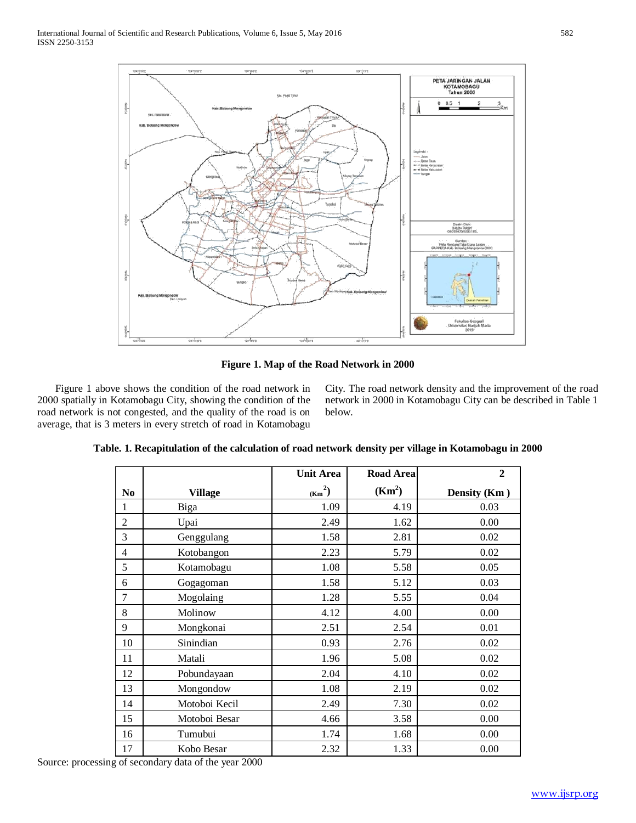

**Figure 1. Map of the Road Network in 2000**

 Figure 1 above shows the condition of the road network in 2000 spatially in Kotamobagu City, showing the condition of the road network is not congested, and the quality of the road is on average, that is 3 meters in every stretch of road in Kotamobagu City. The road network density and the improvement of the road network in 2000 in Kotamobagu City can be described in Table 1 below.

|                |                | <b>Unit Area</b> | <b>Road Area</b>   | $\overline{2}$ |
|----------------|----------------|------------------|--------------------|----------------|
| No             | <b>Village</b> | $(Km^2)$         | (Km <sup>2</sup> ) | Density (Km)   |
| 1              | Biga           | 1.09             | 4.19               | 0.03           |
| $\overline{2}$ | Upai           | 2.49             | 1.62               | 0.00           |
| 3              | Genggulang     | 1.58             | 2.81               | 0.02           |
| $\overline{4}$ | Kotobangon     | 2.23             | 5.79               | 0.02           |
| 5              | Kotamobagu     | 1.08             | 5.58               | 0.05           |
| 6              | Gogagoman      | 1.58             | 5.12               | 0.03           |
| 7              | Mogolaing      | 1.28             | 5.55               | 0.04           |
| 8              | Molinow        | 4.12             | 4.00               | 0.00           |
| 9              | Mongkonai      | 2.51             | 2.54               | 0.01           |
| 10             | Sinindian      | 0.93             | 2.76               | 0.02           |
| 11             | Matali         | 1.96             | 5.08               | 0.02           |
| 12             | Pobundayaan    | 2.04             | 4.10               | 0.02           |
| 13             | Mongondow      | 1.08             | 2.19               | 0.02           |
| 14             | Motoboi Kecil  | 2.49             | 7.30               | 0.02           |
| 15             | Motoboi Besar  | 4.66             | 3.58               | 0.00           |
| 16             | Tumubui        | 1.74             | 1.68               | 0.00           |
| 17             | Kobo Besar     | 2.32             | 1.33               | 0.00           |

**Table. 1. Recapitulation of the calculation of road network density per village in Kotamobagu in 2000**

Source: processing of secondary data of the year 2000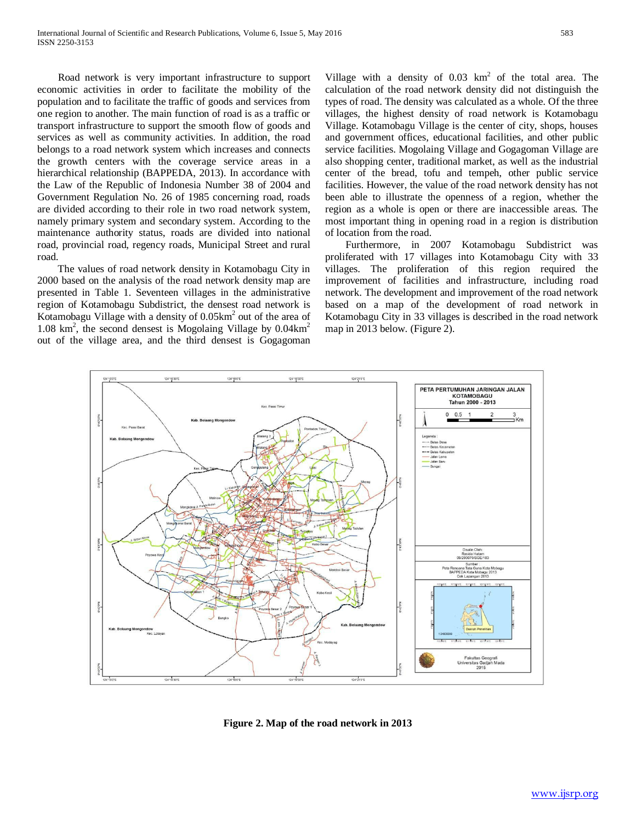Road network is very important infrastructure to support economic activities in order to facilitate the mobility of the population and to facilitate the traffic of goods and services from one region to another. The main function of road is as a traffic or transport infrastructure to support the smooth flow of goods and services as well as community activities. In addition, the road belongs to a road network system which increases and connects the growth centers with the coverage service areas in a hierarchical relationship (BAPPEDA, 2013). In accordance with the Law of the Republic of Indonesia Number 38 of 2004 and Government Regulation No. 26 of 1985 concerning road, roads are divided according to their role in two road network system, namely primary system and secondary system. According to the maintenance authority status, roads are divided into national road, provincial road, regency roads, Municipal Street and rural road.

 The values of road network density in Kotamobagu City in 2000 based on the analysis of the road network density map are presented in Table 1. Seventeen villages in the administrative region of Kotamobagu Subdistrict, the densest road network is Kotamobagu Village with a density of  $0.05 \text{km}^2$  out of the area of 1.08 km<sup>2</sup>, the second densest is Mogolaing Village by 0.04km<sup>2</sup> out of the village area, and the third densest is Gogagoman Village with a density of  $0.03 \text{ km}^2$  of the total area. The calculation of the road network density did not distinguish the types of road. The density was calculated as a whole. Of the three villages, the highest density of road network is Kotamobagu Village. Kotamobagu Village is the center of city, shops, houses and government offices, educational facilities, and other public service facilities. Mogolaing Village and Gogagoman Village are also shopping center, traditional market, as well as the industrial center of the bread, tofu and tempeh, other public service facilities. However, the value of the road network density has not been able to illustrate the openness of a region, whether the region as a whole is open or there are inaccessible areas. The most important thing in opening road in a region is distribution of location from the road.

 Furthermore, in 2007 Kotamobagu Subdistrict was proliferated with 17 villages into Kotamobagu City with 33 villages. The proliferation of this region required the improvement of facilities and infrastructure, including road network. The development and improvement of the road network based on a map of the development of road network in Kotamobagu City in 33 villages is described in the road network map in 2013 below. (Figure 2).



**Figure 2. Map of the road network in 2013**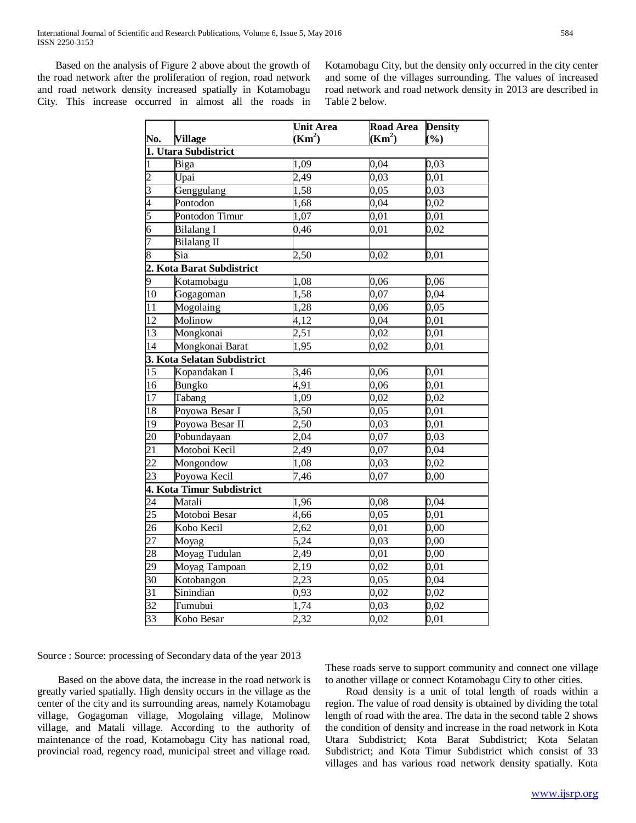Based on the analysis of Figure 2 above about the growth of the road network after the proliferation of region, road network and road network density increased spatially in Kotamobagu City. This increase occurred in almost all the roads in Kotamobagu City, but the density only occurred in the city center and some of the villages surrounding. The values of increased road network and road network density in 2013 are described in Table 2 below.

|                                                                       | No.<br>1. Utara Subdistrict | <b>Unit Area</b><br>(Km <sup>2</sup> ) | <b>Road</b> Area<br>(Km <sup>2</sup> ) | <b>Density</b><br>(%) |  |  |  |
|-----------------------------------------------------------------------|-----------------------------|----------------------------------------|----------------------------------------|-----------------------|--|--|--|
|                                                                       |                             |                                        |                                        |                       |  |  |  |
|                                                                       | Biga                        | 1,09                                   | 0,04                                   | 0,03                  |  |  |  |
| $\frac{1}{2}$ $\frac{2}{3}$ $\frac{4}{4}$ $\frac{5}{5}$ $\frac{6}{7}$ | Upai                        | 2,49                                   | $0,\overline{03}$                      | 0,01                  |  |  |  |
|                                                                       | Genggulang                  | 1,58                                   | 0,05                                   | 0,03                  |  |  |  |
|                                                                       | Pontodon                    | 1,68                                   | 0,04                                   | 0,02                  |  |  |  |
|                                                                       | Pontodon Timur              | 1,07                                   | 0,01                                   | 0,01                  |  |  |  |
|                                                                       | <b>Bilalang I</b>           | 0,46                                   | 0,01                                   | 0,02                  |  |  |  |
|                                                                       | <b>Bilalang II</b>          |                                        |                                        |                       |  |  |  |
| $\overline{8}$                                                        | Sia                         | 2,50                                   | 0,02                                   | 0,01                  |  |  |  |
| <b>2. Kota Barat Subdistrict</b><br>9 Kotamobagu<br>10 Gogagoman      |                             |                                        |                                        |                       |  |  |  |
|                                                                       |                             | 1,08                                   | 0,06                                   | 0,06                  |  |  |  |
|                                                                       |                             | 1,58                                   | 0,07                                   | 0,04                  |  |  |  |
|                                                                       | Mogolaing                   | 1,28                                   | 0,06                                   | 0,05                  |  |  |  |
| $\frac{11}{12}$                                                       | Molinow                     | 4,12                                   | 0,04                                   | 0,01                  |  |  |  |
| 13                                                                    | Mongkonai                   | 2,51                                   | 0,02                                   | 0,01                  |  |  |  |
| $\overline{14}$                                                       | Mongkonai Barat             | 1,95                                   | $0,\overline{02}$                      | $\overline{0,0}1$     |  |  |  |
| 3. Kota Selatan Subdistrict                                           |                             |                                        |                                        |                       |  |  |  |
| 15                                                                    | Kopandakan I                | 3,46                                   | 0,06                                   | 0,01                  |  |  |  |
| 16                                                                    | <b>Bungko</b>               | 4,91                                   | 0,06                                   | 0,01                  |  |  |  |
| 17                                                                    | Tabang                      | 1,09                                   | 0,02                                   | $_{0,02}$             |  |  |  |
| $\frac{18}{19}$                                                       | Poyowa Besar I              | 3,50                                   | 0,05                                   | 0,01                  |  |  |  |
|                                                                       | Poyowa Besar II             | 2,50                                   | 0,03                                   | 0,01                  |  |  |  |
| $\frac{20}{21}$                                                       | Pobundayaan                 | 2,04                                   | 0,07                                   | 0,03                  |  |  |  |
|                                                                       | Motoboi Kecil               | $\overline{2,49}$                      | 0,07                                   | 0,04                  |  |  |  |
| $\overline{22}$                                                       | Mongondow                   | 1,08                                   | 0,03                                   | 0,02                  |  |  |  |
| 23                                                                    | Poyowa Kecil                | 7,46                                   | 0,07                                   | $\overline{0,}00$     |  |  |  |
| 4. Kota Timur Subdistrict                                             |                             |                                        |                                        |                       |  |  |  |
| $\overline{24}$                                                       | Matali                      | 1,96                                   | 0,08                                   | 0,04                  |  |  |  |
|                                                                       | Motoboi Besar               | 4,66                                   | 0,05                                   | 0,01                  |  |  |  |
| $\frac{25}{26}$<br>$\frac{27}{28}$                                    | Kobo Kecil                  | 2,62                                   | 0,01                                   | 0,00                  |  |  |  |
|                                                                       | Moyag                       | 5,24                                   | 0,03                                   | $_{0,00}$             |  |  |  |
|                                                                       | Moyag Tudulan               | 2,49                                   | 0,01                                   | 0,00                  |  |  |  |
|                                                                       | Moyag Tampoan               | 2,19                                   | 0,02                                   | 0,01                  |  |  |  |
| $\frac{29}{30}$<br>$\frac{31}{32}$<br>$\frac{32}{33}$                 | Kotobangon                  | 2,23                                   | 0,05                                   | 0,04                  |  |  |  |
|                                                                       | Sinindian                   | 0,93                                   | 0,02                                   | 0,02                  |  |  |  |
|                                                                       | Tumubui                     | 1,74                                   | 0,03                                   | 0,02                  |  |  |  |
|                                                                       | Kobo Besar                  | 2,32                                   | 0,02                                   | 0,01                  |  |  |  |

Source : Source: processing of Secondary data of the year 2013

 Based on the above data, the increase in the road network is greatly varied spatially. High density occurs in the village as the center of the city and its surrounding areas, namely Kotamobagu village, Gogagoman village, Mogolaing village, Molinow village, and Matali village. According to the authority of maintenance of the road, Kotamobagu City has national road, provincial road, regency road, municipal street and village road.

These roads serve to support community and connect one village to another village or connect Kotamobagu City to other cities.

 Road density is a unit of total length of roads within a region. The value of road density is obtained by dividing the total length of road with the area. The data in the second table 2 shows the condition of density and increase in the road network in Kota Utara Subdistrict; Kota Barat Subdistrict; Kota Selatan Subdistrict; and Kota Timur Subdistrict which consist of 33 villages and has various road network density spatially. Kota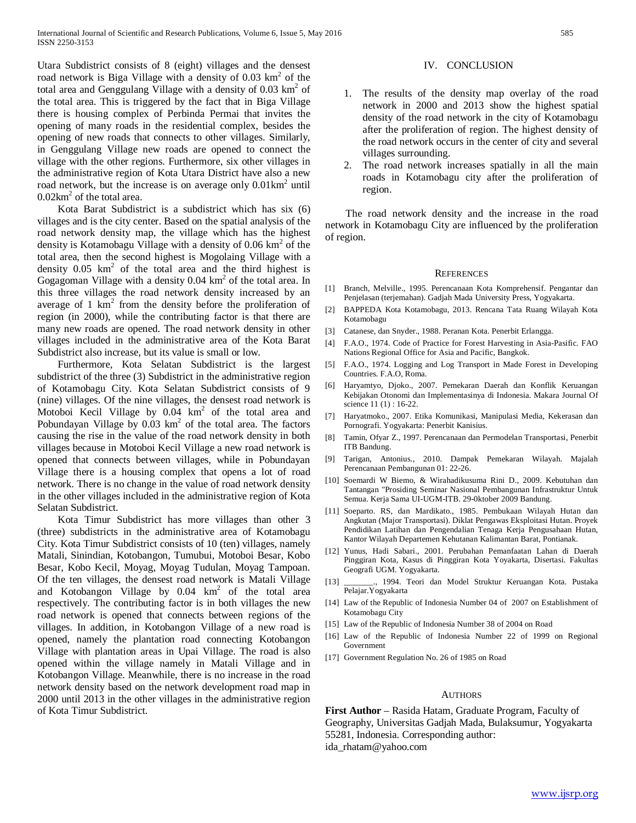Utara Subdistrict consists of 8 (eight) villages and the densest road network is Biga Village with a density of  $0.03 \text{ km}^2$  of the total area and Genggulang Village with a density of  $0.03 \text{ km}^2$  of the total area. This is triggered by the fact that in Biga Village there is housing complex of Perbinda Permai that invites the opening of many roads in the residential complex, besides the opening of new roads that connects to other villages. Similarly, in Genggulang Village new roads are opened to connect the village with the other regions. Furthermore, six other villages in the administrative region of Kota Utara District have also a new road network, but the increase is on average only  $0.01 \text{km}^2$  until  $0.02 \text{km}^2$  of the total area.

 Kota Barat Subdistrict is a subdistrict which has six (6) villages and is the city center. Based on the spatial analysis of the road network density map, the village which has the highest density is Kotamobagu Village with a density of  $0.06 \text{ km}^2$  of the total area, then the second highest is Mogolaing Village with a density  $0.05 \text{ km}^2$  of the total area and the third highest is Gogagoman Village with a density  $0.04 \text{ km}^2$  of the total area. In this three villages the road network density increased by an average of 1  $km^2$  from the density before the proliferation of region (in 2000), while the contributing factor is that there are many new roads are opened. The road network density in other villages included in the administrative area of the Kota Barat Subdistrict also increase, but its value is small or low.

 Furthermore, Kota Selatan Subdistrict is the largest subdistrict of the three (3) Subdistrict in the administrative region of Kotamobagu City. Kota Selatan Subdistrict consists of 9 (nine) villages. Of the nine villages, the densest road network is Motoboi Kecil Village by 0.04 km<sup>2</sup> of the total area and Pobundayan Village by  $0.03 \text{ km}^2$  of the total area. The factors causing the rise in the value of the road network density in both villages because in Motoboi Kecil Village a new road network is opened that connects between villages, while in Pobundayan Village there is a housing complex that opens a lot of road network. There is no change in the value of road network density in the other villages included in the administrative region of Kota Selatan Subdistrict.

 Kota Timur Subdistrict has more villages than other 3 (three) subdistricts in the administrative area of Kotamobagu City. Kota Timur Subdistrict consists of 10 (ten) villages, namely Matali, Sinindian, Kotobangon, Tumubui, Motoboi Besar, Kobo Besar, Kobo Kecil, Moyag, Moyag Tudulan, Moyag Tampoan. Of the ten villages, the densest road network is Matali Village and Kotobangon Village by  $0.04 \text{ km}^2$  of the total area respectively. The contributing factor is in both villages the new road network is opened that connects between regions of the villages. In addition, in Kotobangon Village of a new road is opened, namely the plantation road connecting Kotobangon Village with plantation areas in Upai Village. The road is also opened within the village namely in Matali Village and in Kotobangon Village. Meanwhile, there is no increase in the road network density based on the network development road map in 2000 until 2013 in the other villages in the administrative region of Kota Timur Subdistrict.

## IV. CONCLUSION

- 1. The results of the density map overlay of the road network in 2000 and 2013 show the highest spatial density of the road network in the city of Kotamobagu after the proliferation of region. The highest density of the road network occurs in the center of city and several villages surrounding.
- 2. The road network increases spatially in all the main roads in Kotamobagu city after the proliferation of region.

 The road network density and the increase in the road network in Kotamobagu City are influenced by the proliferation of region.

#### **REFERENCES**

- [1] Branch, Melville., 1995. Perencanaan Kota Komprehensif. Pengantar dan Penjelasan (terjemahan). Gadjah Mada University Press, Yogyakarta.
- [2] BAPPEDA Kota Kotamobagu, 2013. Rencana Tata Ruang Wilayah Kota Kotamobagu
- [3] Catanese, dan Snyder., 1988. Peranan Kota. Penerbit Erlangga.
- [4] F.A.O., 1974. Code of Practice for Forest Harvesting in Asia-Pasific. FAO Nations Regional Office for Asia and Pacific, Bangkok.
- [5] F.A.O., 1974. Logging and Log Transport in Made Forest in Developing Countries. F.A.O, Roma.
- [6] Haryamtyo, Djoko., 2007. Pemekaran Daerah dan Konflik Keruangan Kebijakan Otonomi dan Implementasinya di Indonesia. Makara Journal Of science 11 (1) : 16-22.
- [7] Haryatmoko., 2007. Etika Komunikasi, Manipulasi Media, Kekerasan dan Pornografi. Yogyakarta: Penerbit Kanisius.
- [8] Tamin, Ofyar Z., 1997. Perencanaan dan Permodelan Transportasi, Penerbit ITB Bandung.
- [9] Tarigan, Antonius., 2010. Dampak Pemekaran Wilayah. Majalah Perencanaan Pembangunan 01: 22-26.
- [10] Soemardi W Biemo, & Wirahadikusuma Rini D., 2009. Kebutuhan dan Tantangan "Prosiding Seminar Nasional Pembangunan Infrastruktur Untuk Semua. Kerja Sama UI-UGM-ITB. 29-0ktober 2009 Bandung.
- [11] Soeparto. RS, dan Mardikato., 1985. Pembukaan Wilayah Hutan dan Angkutan (Major Transportasi). Diklat Pengawas Eksploitasi Hutan. Proyek Pendidikan Latihan dan Pengendalian Tenaga Kerja Pengusahaan Hutan, Kantor Wilayah Departemen Kehutanan Kalimantan Barat, Pontianak.
- [12] Yunus, Hadi Sabari., 2001. Perubahan Pemanfaatan Lahan di Daerah Pinggiran Kota, Kasus di Pinggiran Kota Yoyakarta, Disertasi. Fakultas Geografi UGM. Yogyakarta.
- [13] \_\_\_\_\_\_\_., 1994. Teori dan Model Struktur Keruangan Kota. Pustaka Pelajar.Yogyakarta
- [14] Law of the Republic of Indonesia Number 04 of 2007 on Establishment of Kotamobagu City
- [15] Law of the Republic of Indonesia Number 38 of 2004 on Road
- [16] Law of the Republic of Indonesia Number 22 of 1999 on Regional Government
- [17] Government Regulation No. 26 of 1985 on Road

#### **AUTHORS**

**First Author** – Rasida Hatam, Graduate Program, Faculty of Geography, Universitas Gadjah Mada, Bulaksumur, Yogyakarta 55281, Indonesia. Corresponding author: ida\_rhatam@yahoo.com